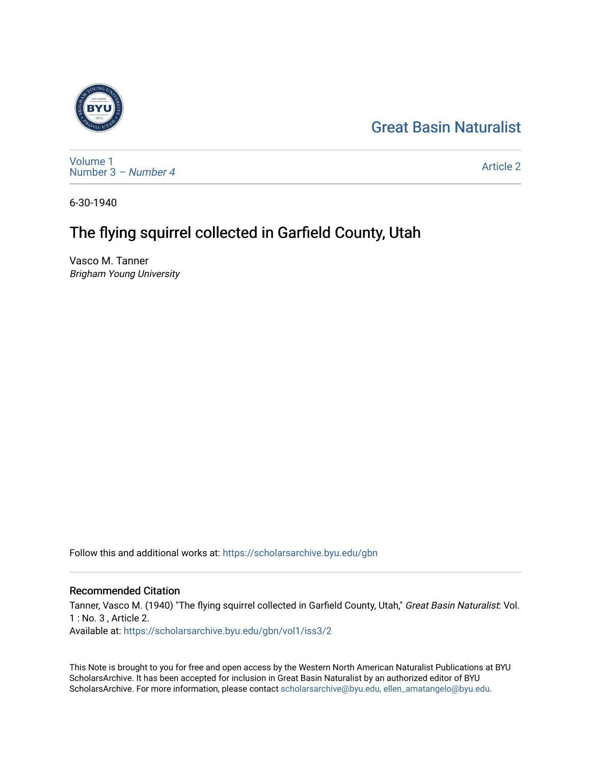## [Great Basin Naturalist](https://scholarsarchive.byu.edu/gbn)



[Volume 1](https://scholarsarchive.byu.edu/gbn/vol1) [Number 3](https://scholarsarchive.byu.edu/gbn/vol1/iss3) – Number 4

[Article 2](https://scholarsarchive.byu.edu/gbn/vol1/iss3/2) 

6-30-1940

## The flying squirrel collected in Garfield County, Utah

Vasco M. Tanner Brigham Young University

Follow this and additional works at: [https://scholarsarchive.byu.edu/gbn](https://scholarsarchive.byu.edu/gbn?utm_source=scholarsarchive.byu.edu%2Fgbn%2Fvol1%2Fiss3%2F2&utm_medium=PDF&utm_campaign=PDFCoverPages) 

## Recommended Citation

Tanner, Vasco M. (1940) "The flying squirrel collected in Garfield County, Utah," Great Basin Naturalist: Vol. 1 : No. 3 , Article 2. Available at: [https://scholarsarchive.byu.edu/gbn/vol1/iss3/2](https://scholarsarchive.byu.edu/gbn/vol1/iss3/2?utm_source=scholarsarchive.byu.edu%2Fgbn%2Fvol1%2Fiss3%2F2&utm_medium=PDF&utm_campaign=PDFCoverPages) 

This Note is brought to you for free and open access by the Western North American Naturalist Publications at BYU ScholarsArchive. It has been accepted for inclusion in Great Basin Naturalist by an authorized editor of BYU ScholarsArchive. For more information, please contact [scholarsarchive@byu.edu, ellen\\_amatangelo@byu.edu.](mailto:scholarsarchive@byu.edu,%20ellen_amatangelo@byu.edu)